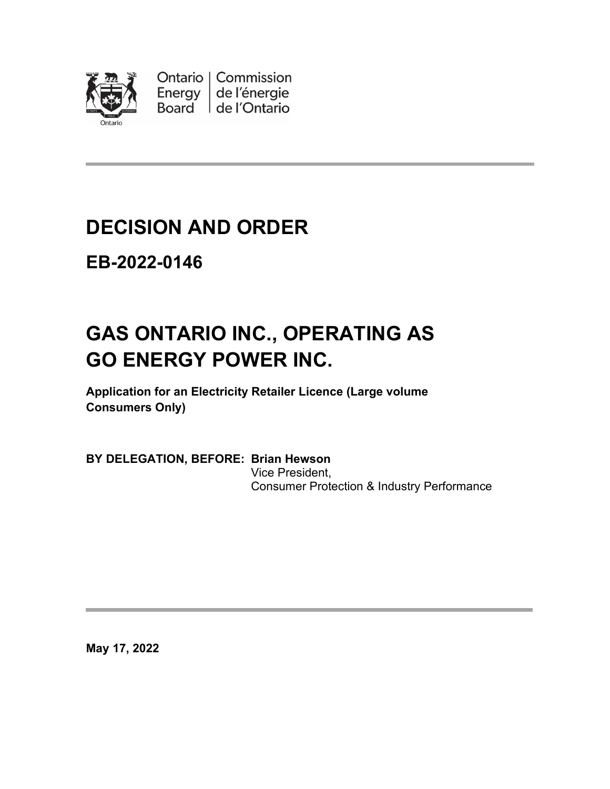

Ontario | Commission Energy de l'énergie Board de l'Ontario

# **DECISION AND ORDER**

**EB-2022-0146**

# **GAS ONTARIO INC., OPERATING AS GO ENERGY POWER INC.**

**Application for an Electricity Retailer Licence (Large volume Consumers Only)**

**BY DELEGATION, BEFORE: Brian Hewson** Vice President, Consumer Protection & Industry Performance

**May 17, 2022**